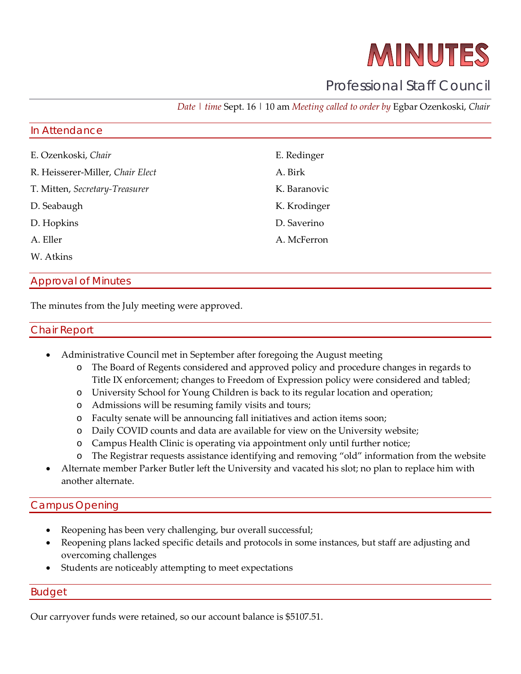# MINUTES

# Professional Staff Council

*Date | time* Sept. 16 | 10 am *Meeting called to order by* Egbar Ozenkoski, *Chair*

#### In Attendance

| E. Ozenkoski, Chair              | E. Redinger  |
|----------------------------------|--------------|
| R. Heisserer-Miller, Chair Elect | A. Birk      |
| T. Mitten, Secretary-Treasurer   | K. Baranovic |
| D. Seabaugh                      | K. Krodinger |
| D. Hopkins                       | D. Saverino  |
| A. Eller                         | A. McFerron  |
| W. Atkins                        |              |

## Approval of Minutes

The minutes from the July meeting were approved.

#### Chair Report

- Administrative Council met in September after foregoing the August meeting
	- o The Board of Regents considered and approved policy and procedure changes in regards to Title IX enforcement; changes to Freedom of Expression policy were considered and tabled;
	- o University School for Young Children is back to its regular location and operation;
	- o Admissions will be resuming family visits and tours;
	- o Faculty senate will be announcing fall initiatives and action items soon;
	- o Daily COVID counts and data are available for view on the University website;
	- o Campus Health Clinic is operating via appointment only until further notice;
	- o The Registrar requests assistance identifying and removing "old" information from the website
- Alternate member Parker Butler left the University and vacated his slot; no plan to replace him with another alternate.

#### Campus Opening

- Reopening has been very challenging, bur overall successful;
- Reopening plans lacked specific details and protocols in some instances, but staff are adjusting and overcoming challenges
- Students are noticeably attempting to meet expectations

#### Budget

Our carryover funds were retained, so our account balance is \$5107.51.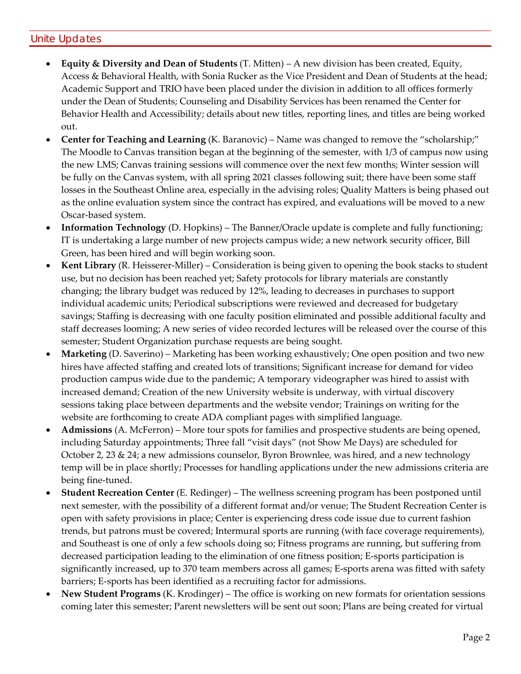# Unite Updates

- **Equity & Diversity and Dean of Students** (T. Mitten) A new division has been created, Equity, Access & Behavioral Health, with Sonia Rucker as the Vice President and Dean of Students at the head; Academic Support and TRIO have been placed under the division in addition to all offices formerly under the Dean of Students; Counseling and Disability Services has been renamed the Center for Behavior Health and Accessibility; details about new titles, reporting lines, and titles are being worked out.
- **Center for Teaching and Learning** (K. Baranovic) Name was changed to remove the "scholarship;" The Moodle to Canvas transition began at the beginning of the semester, with 1/3 of campus now using the new LMS; Canvas training sessions will commence over the next few months; Winter session will be fully on the Canvas system, with all spring 2021 classes following suit; there have been some staff losses in the Southeast Online area, especially in the advising roles; Quality Matters is being phased out as the online evaluation system since the contract has expired, and evaluations will be moved to a new Oscar-based system.
- **Information Technology** (D. Hopkins) The Banner/Oracle update is complete and fully functioning; IT is undertaking a large number of new projects campus wide; a new network security officer, Bill Green, has been hired and will begin working soon.
- **Kent Library** (R. Heisserer-Miller) Consideration is being given to opening the book stacks to student use, but no decision has been reached yet; Safety protocols for library materials are constantly changing; the library budget was reduced by 12%, leading to decreases in purchases to support individual academic units; Periodical subscriptions were reviewed and decreased for budgetary savings; Staffing is decreasing with one faculty position eliminated and possible additional faculty and staff decreases looming; A new series of video recorded lectures will be released over the course of this semester; Student Organization purchase requests are being sought.
- **Marketing** (D. Saverino) Marketing has been working exhaustively; One open position and two new hires have affected staffing and created lots of transitions; Significant increase for demand for video production campus wide due to the pandemic; A temporary videographer was hired to assist with increased demand; Creation of the new University website is underway, with virtual discovery sessions taking place between departments and the website vendor; Trainings on writing for the website are forthcoming to create ADA compliant pages with simplified language.
- **Admissions** (A. McFerron) More tour spots for families and prospective students are being opened, including Saturday appointments; Three fall "visit days" (not Show Me Days) are scheduled for October 2, 23 & 24; a new admissions counselor, Byron Brownlee, was hired, and a new technology temp will be in place shortly; Processes for handling applications under the new admissions criteria are being fine-tuned.
- **Student Recreation Center** (E. Redinger) The wellness screening program has been postponed until next semester, with the possibility of a different format and/or venue; The Student Recreation Center is open with safety provisions in place; Center is experiencing dress code issue due to current fashion trends, but patrons must be covered; Intermural sports are running (with face coverage requirements), and Southeast is one of only a few schools doing so; Fitness programs are running, but suffering from decreased participation leading to the elimination of one fitness position; E-sports participation is significantly increased, up to 370 team members across all games; E-sports arena was fitted with safety barriers; E-sports has been identified as a recruiting factor for admissions.
- **New Student Programs** (K. Krodinger) The office is working on new formats for orientation sessions coming later this semester; Parent newsletters will be sent out soon; Plans are being created for virtual